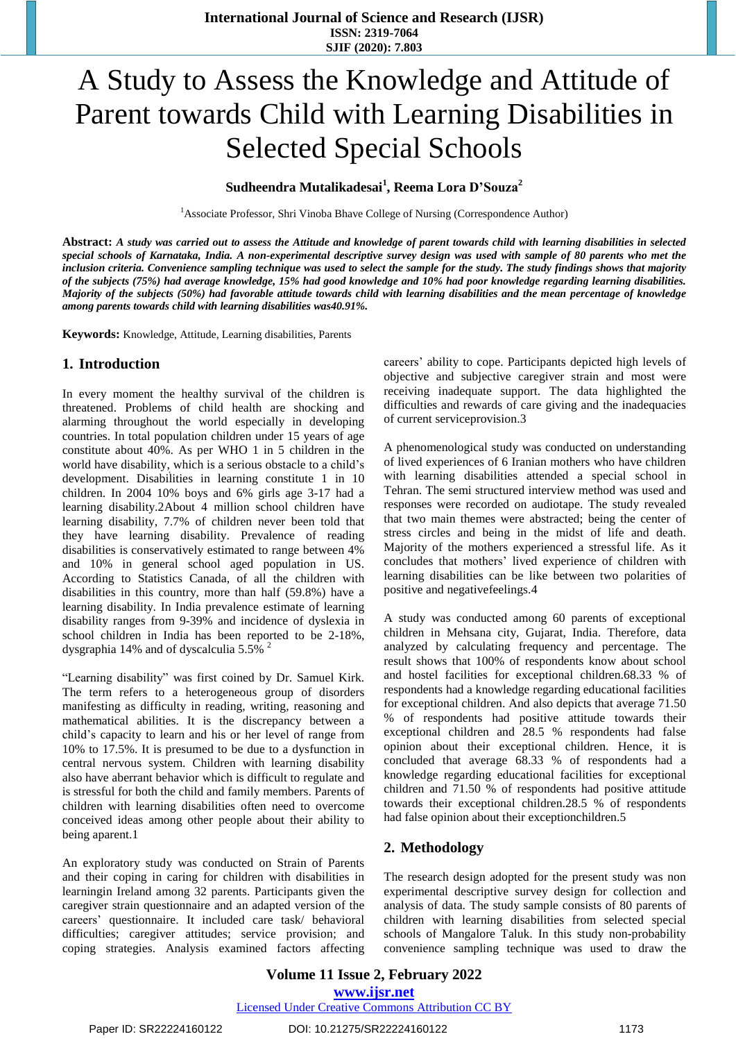# A Study to Assess the Knowledge and Attitude of Parent towards Child with Learning Disabilities in Selected Special Schools

### **Sudheendra Mutalikadesai<sup>1</sup> , Reema Lora D'Souza<sup>2</sup>**

<sup>1</sup>Associate Professor, Shri Vinoba Bhave College of Nursing (Correspondence Author)

Abstract: A study was carried out to assess the Attitude and knowledge of parent towards child with learning disabilities in selected special schools of Karnataka, India. A non-experimental descriptive survey design was used with sample of 80 parents who met the inclusion criteria. Convenience sampling technique was used to select the sample for the study. The study findings shows that majority of the subjects (75%) had average knowledge, 15% had good knowledge and 10% had poor knowledge regarding learning disabilities. Majority of the subjects (50%) had favorable attitude towards child with learning disabilities and the mean percentage of knowledge *among parents towards child with learning disabilities was40.91%.* 

**Keywords:** Knowledge, Attitude, Learning disabilities, Parents

#### **1. Introduction**

. world have disability, which is a serious obstacle to a child's In every moment the healthy survival of the children is threatened. Problems of child health are shocking and alarming throughout the world especially in developing countries. In total population children under 15 years of age constitute about 40%. As per WHO 1 in 5 children in the development. Disabilities in learning constitute 1 in 10 children. In 2004 10% boys and 6% girls age 3-17 had a learning disability.2About 4 million school children have learning disability, 7.7% of children never been told that they have learning disability. Prevalence of reading disabilities is conservatively estimated to range between 4% and 10% in general school aged population in US. According to Statistics Canada, of all the children with disabilities in this country, more than half (59.8%) have a learning disability. In India prevalence estimate of learning disability ranges from 9-39% and incidence of dyslexia in school children in India has been reported to be 2-18%, dysgraphia 14% and of dyscalculia 5.5%  $^2$ 

"Learning disability" was first coined by Dr. Samuel Kirk. The term refers to a heterogeneous group of disorders manifesting as difficulty in reading, writing, reasoning and mathematical abilities. It is the discrepancy between a child's capacity to learn and his or her level of range from 10% to 17.5%. It is presumed to be due to a dysfunction in central nervous system. Children with learning disability also have aberrant behavior which is difficult to regulate and is stressful for both the child and family members. Parents of children with learning disabilities often need to overcome conceived ideas among other people about their ability to being aparent.1

An exploratory study was conducted on Strain of Parents and their coping in caring for children with disabilities in learningin Ireland among 32 parents. Participants given the caregiver strain questionnaire and an adapted version of the careers' questionnaire. It included care task/ behavioral difficulties; caregiver attitudes; service provision; and coping strategies. Analysis examined factors affecting careers' ability to cope. Participants depicted high levels of objective and subjective caregiver strain and most were receiving inadequate support. The data highlighted the difficulties and rewards of care giving and the inadequacies of current serviceprovision.3

A phenomenological study was conducted on understanding of lived experiences of 6 Iranian mothers who have children with learning disabilities attended a special school in Tehran. The semi structured interview method was used and responses were recorded on audiotape. The study revealed that two main themes were abstracted; being the center of stress circles and being in the midst of life and death. Majority of the mothers experienced a stressful life. As it concludes that mothers' lived experience of children with learning disabilities can be like between two polarities of positive and negativefeelings.4

A study was conducted among 60 parents of exceptional children in Mehsana city, Gujarat, India. Therefore, data analyzed by calculating frequency and percentage. The result shows that 100% of respondents know about school and hostel facilities for exceptional children.68.33 % of respondents had a knowledge regarding educational facilities for exceptional children. And also depicts that average 71.50 % of respondents had positive attitude towards their exceptional children and 28.5 % respondents had false opinion about their exceptional children. Hence, it is concluded that average 68.33 % of respondents had a knowledge regarding educational facilities for exceptional children and 71.50 % of respondents had positive attitude towards their exceptional children.28.5 % of respondents had false opinion about their exceptionchildren.5

## **2. Methodology**

The research design adopted for the present study was non experimental descriptive survey design for collection and analysis of data. The study sample consists of 80 parents of children with learning disabilities from selected special schools of Mangalore Taluk. In this study non-probability convenience sampling technique was used to draw the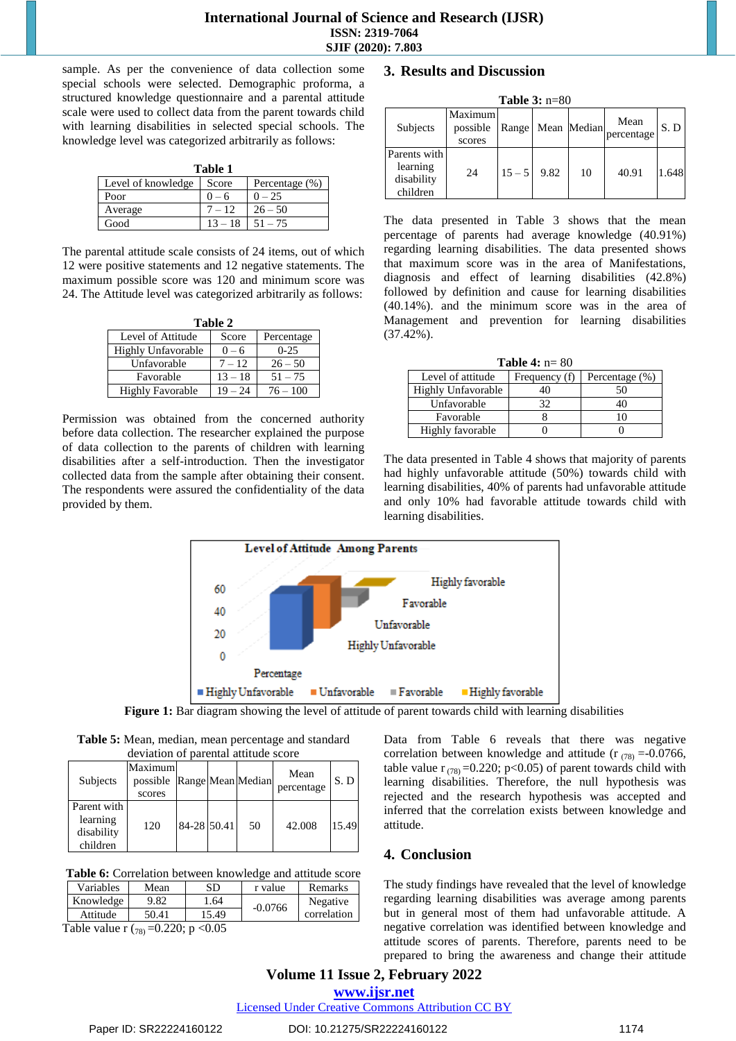sample. As per the convenience of data collection some special schools were selected. Demographic proforma, a structured knowledge questionnaire and a parental attitude scale were used to collect data from the parent towards child with learning disabilities in selected special schools. The knowledge level was categorized arbitrarily as follows:

| ını<br>я |  |
|----------|--|
|          |  |

| Level of knowledge Score |           | Percentage $(\% )$ |  |  |  |
|--------------------------|-----------|--------------------|--|--|--|
| Poor                     | $0 - 6$   | $0 - 25$           |  |  |  |
| Average                  | $7 - 12$  | $26 - 50$          |  |  |  |
| Good                     | $13 - 18$ | $51 - 75$          |  |  |  |

The parental attitude scale consists of 24 items, out of which 12 were positive statements and 12 negative statements. The maximum possible score was 120 and minimum score was 24. The Attitude level was categorized arbitrarily as follows:

| Table 2                 |           |            |  |  |  |
|-------------------------|-----------|------------|--|--|--|
| Level of Attitude       | Score     | Percentage |  |  |  |
| Highly Unfavorable      | $0 - 6$   | $0-25$     |  |  |  |
| Unfavorable             | $7 - 12$  | $26 - 50$  |  |  |  |
| Favorable               | $13 - 18$ | $51 - 75$  |  |  |  |
| <b>Highly Favorable</b> | $19 - 24$ | $76 - 100$ |  |  |  |

Permission was obtained from the concerned authority before data collection. The researcher explained the purpose of data collection to the parents of children with learning disabilities after a self-introduction. Then the investigator collected data from the sample after obtaining their consent. The respondents were assured the confidentiality of the data provided by them.

#### **3. Results and Discussion**

| Table $3: n=80$                                    |                               |          |      |             |                    |       |
|----------------------------------------------------|-------------------------------|----------|------|-------------|--------------------|-------|
| Subjects                                           | Maximum<br>possible<br>scores | Range    |      | Mean Median | Mean<br>percentage | S.D   |
| Parents with<br>learning<br>disability<br>children | 24                            | $15 - 5$ | 9.82 | 10          | 40.91              | 1.648 |

The data presented in Table 3 shows that the mean percentage of parents had average knowledge (40.91%) regarding learning disabilities. The data presented shows that maximum score was in the area of Manifestations, diagnosis and effect of learning disabilities (42.8%) followed by definition and cause for learning disabilities (40.14%). and the minimum score was in the area of Management and prevention for learning disabilities (37.42%).

| <b>Table 4:</b> $n = 80$ |               |                |  |  |  |
|--------------------------|---------------|----------------|--|--|--|
| Level of attitude        | Frequency (f) | Percentage (%) |  |  |  |
| Highly Unfavorable       | 40            | 50             |  |  |  |
| Unfavorable              | 32            |                |  |  |  |
| Favorable                |               |                |  |  |  |
| Highly favorable         |               |                |  |  |  |

The data presented in Table 4 shows that majority of parents had highly unfavorable attitude (50%) towards child with learning disabilities, 40% of parents had unfavorable attitude and only 10% had favorable attitude towards child with learning disabilities.



**Figure 1:** Bar diagram showing the level of attitude of parent towards child with learning disabilities

**Table 5:** Mean, median, mean percentage and standard deviation of parental attitude score

| <b>Subjects</b>                       | Maximum<br>possible Range Mean Median<br>scores |             |    | Mean<br>percentage | S.D   |
|---------------------------------------|-------------------------------------------------|-------------|----|--------------------|-------|
| Parent with<br>learning<br>disability | 120                                             | 84-28 50.41 | 50 | 42.008             | 15.49 |
| children                              |                                                 |             |    |                    |       |

**Table 6:** Correlation between knowledge and attitude score

| Variables | Mean  | SD    | r value   | Remarks     |
|-----------|-------|-------|-----------|-------------|
| Knowledge | 9.82  | 1.64  | $-0.0766$ | Negative    |
| Attitude  | 50.41 | 15.49 |           | correlation |

Table value r  $(78) = 0.220$ ; p < 0.05

Data from Table 6 reveals that there was negative correlation between knowledge and attitude ( $r_{(78)} = -0.0766$ , table value  $r_{(78)} = 0.220$ ; p<0.05) of parent towards child with learning disabilities. Therefore, the null hypothesis was rejected and the research hypothesis was accepted and inferred that the correlation exists between knowledge and attitude.

# **4. Conclusion**

The study findings have revealed that the level of knowledge regarding learning disabilities was average among parents but in general most of them had unfavorable attitude. A negative correlation was identified between knowledge and attitude scores of parents. Therefore, parents need to be prepared to bring the awareness and change their attitude

**Volume 11 Issue 2, February 2022 www.ijsr.net**

Licensed Under Creative Commons Attribution CC BY